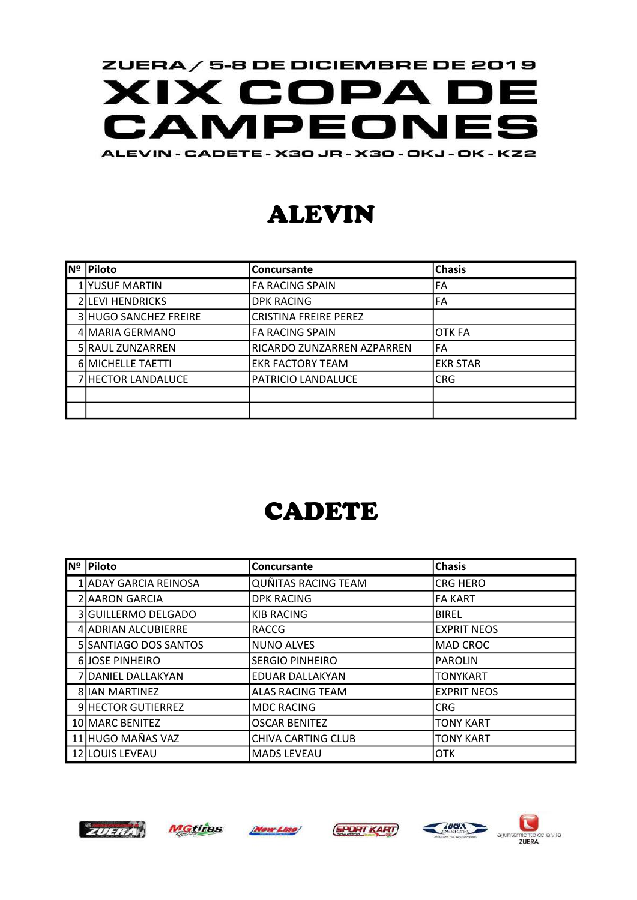#### ZUERA / 5-8 DE DICIEMBRE DE 2019 **XIX COPA DE** CAMPEONES ALEVIN - CADETE - X30 JR - X30 - OKJ - OK - KZ2

### ALEVIN

| INº | <b>Piloto</b>                | <b>Concursante</b>         | <b>Chasis</b>   |
|-----|------------------------------|----------------------------|-----------------|
|     | 1 YUSUF MARTIN               | <b>FA RACING SPAIN</b>     | FA              |
|     | 2 LEVI HENDRICKS             | <b>DPK RACING</b>          | <b>FA</b>       |
|     | <b>3 HUGO SANCHEZ FREIRE</b> | CRISTINA FREIRE PEREZ      |                 |
|     | 4 MARIA GERMANO              | FA RACING SPAIN            | <b>OTK FA</b>   |
|     | 5 RAUL ZUNZARREN             | RICARDO ZUNZARREN AZPARREN | FA              |
|     | 6 MICHELLE TAETTI            | EKR FACTORY TEAM           | <b>EKR STAR</b> |
|     | 7 HECTOR LANDALUCE           | PATRICIO LANDALUCE         | <b>CRG</b>      |
|     |                              |                            |                 |
|     |                              |                            |                 |

### CADETE

| <b>Nº Piloto</b>      | <b>Concursante</b>         | <b>Chasis</b>      |
|-----------------------|----------------------------|--------------------|
| ADAY GARCIA REINOSA!  | <b>QUÑITAS RACING TEAM</b> | <b>CRG HERO</b>    |
| 2 AARON GARCIA        | <b>DPK RACING</b>          | <b>FA KART</b>     |
| 3 GUILLERMO DELGADO   | <b>KIB RACING</b>          | <b>BIREL</b>       |
| 4 ADRIAN ALCUBIERRE   | RACCG                      | <b>EXPRIT NEOS</b> |
| 5 SANTIAGO DOS SANTOS | NUNO ALVES                 | <b>MAD CROC</b>    |
| 6JOSE PINHEIRO        | <b>SERGIO PINHEIRO</b>     | <b>PAROLIN</b>     |
| 7 DANIEL DALLAKYAN    | <b>EDUAR DALLAKYAN</b>     | <b>TONYKART</b>    |
| 8 IIAN MARTINEZ       | <b>ALAS RACING TEAM</b>    | <b>EXPRIT NEOS</b> |
| 9 HECTOR GUTIERREZ    | MDC RACING                 | <b>CRG</b>         |
| 10 MARC BENITEZ       | <b>OSCAR BENITEZ</b>       | <b>TONY KART</b>   |
| 11 HUGO MAÑAS VAZ     | <b>CHIVA CARTING CLUB</b>  | <b>TONY KART</b>   |
| 12 LOUIS LEVEAU       | MADS LEVEAU                | <b>OTK</b>         |











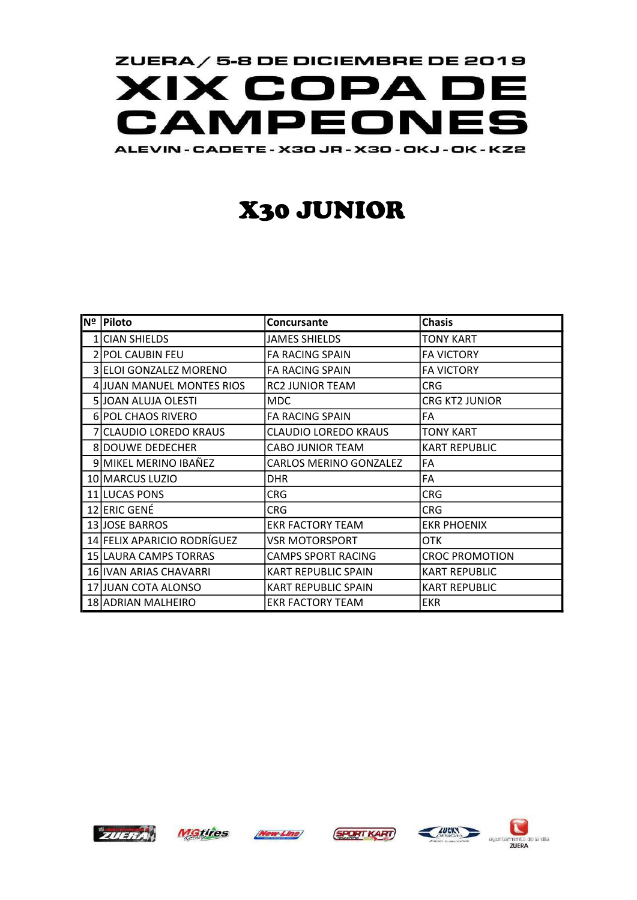

# X30 JUNIOR

| Nº | Piloto                      | Concursante                   | <b>Chasis</b>         |
|----|-----------------------------|-------------------------------|-----------------------|
|    | 1 CIAN SHIELDS              | JAMES SHIELDS                 | <b>TONY KART</b>      |
|    | 2 POL CAUBIN FEU            | <b>FA RACING SPAIN</b>        | <b>FA VICTORY</b>     |
|    | 3 ELOI GONZALEZ MORENO      | <b>FA RACING SPAIN</b>        | <b>FA VICTORY</b>     |
|    | 4 JUAN MANUEL MONTES RIOS   | <b>RC2 JUNIOR TEAM</b>        | <b>CRG</b>            |
|    | 5 JOAN ALUJA OLESTI         | <b>MDC</b>                    | <b>CRG KT2 JUNIOR</b> |
|    | 6 POL CHAOS RIVERO          | <b>FA RACING SPAIN</b>        | FA                    |
|    | 7 CLAUDIO LOREDO KRAUS      | <b>CLAUDIO LOREDO KRAUS</b>   | <b>TONY KART</b>      |
|    | 8 DOUWE DEDECHER            | <b>CABO JUNIOR TEAM</b>       | <b>KART REPUBLIC</b>  |
|    | 9 MIKEL MERINO IBAÑEZ       | <b>CARLOS MERINO GONZALEZ</b> | FA                    |
|    | 10 MARCUS LUZIO             | <b>DHR</b>                    | FA                    |
|    | 11 LUCAS PONS               | CRG                           | <b>CRG</b>            |
|    | 12 ERIC GENÉ                | <b>CRG</b>                    | <b>CRG</b>            |
|    | 13 JOSE BARROS              | <b>EKR FACTORY TEAM</b>       | <b>EKR PHOENIX</b>    |
|    | 14 FELIX APARICIO RODRÍGUEZ | VSR MOTORSPORT                | OTK.                  |
|    | 15 LAURA CAMPS TORRAS       | CAMPS SPORT RACING            | <b>CROC PROMOTION</b> |
|    | 16 IVAN ARIAS CHAVARRI      | <b>KART REPUBLIC SPAIN</b>    | <b>KART REPUBLIC</b>  |
|    | 17 JUAN COTA ALONSO         | <b>KART REPUBLIC SPAIN</b>    | <b>KART REPUBLIC</b>  |
|    | 18 ADRIAN MALHEIRO          | <b>EKR FACTORY TEAM</b>       | <b>EKR</b>            |



MGtires (Now Line) (SPORT KART)





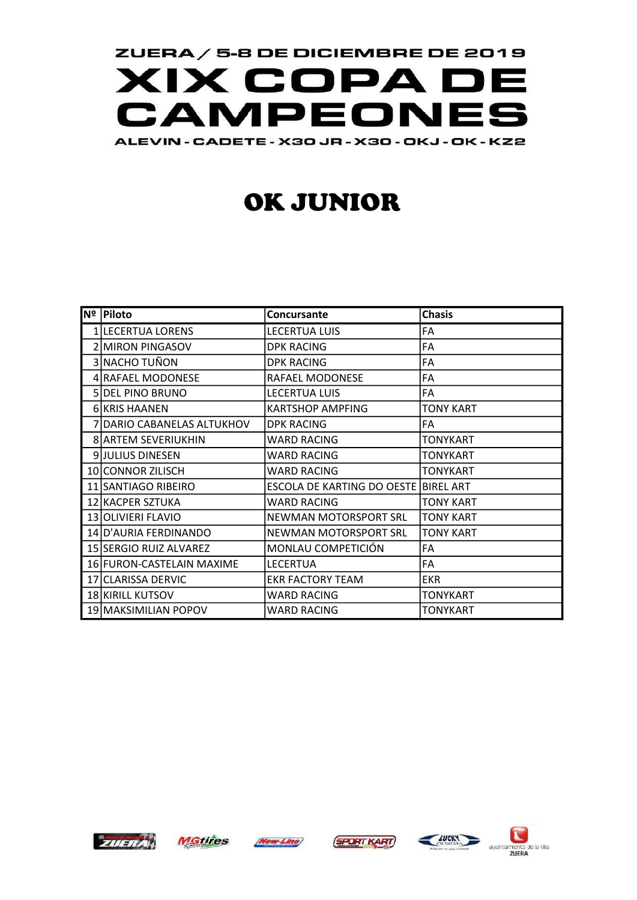

# OK JUNIOR

| $\overline{\mathsf{N}}^{\mathsf{e}}$   Piloto | <b>Concursante</b>                   | <b>Chasis</b>    |
|-----------------------------------------------|--------------------------------------|------------------|
| 1 LECERTUA LORENS                             | <b>LECERTUA LUIS</b>                 | FA               |
| 2 MIRON PINGASOV                              | <b>DPK RACING</b>                    | FA               |
| 3 NACHO TUÑON                                 | <b>DPK RACING</b>                    | FA               |
| 4 RAFAEL MODONESE                             | RAFAEL MODONESE                      | FA               |
| 5 DEL PINO BRUNO                              | <b>LECERTUA LUIS</b>                 | <b>FA</b>        |
| 6 KRIS HAANEN                                 | <b>KARTSHOP AMPFING</b>              | <b>TONY KART</b> |
| 7 DARIO CABANELAS ALTUKHOV                    | <b>DPK RACING</b>                    | FA               |
| <b>8 ARTEM SEVERIUKHIN</b>                    | WARD RACING                          | <b>TONYKART</b>  |
| <b>9 JULIUS DINESEN</b>                       | <b>WARD RACING</b>                   | <b>TONYKART</b>  |
| 10 CONNOR ZILISCH                             | <b>WARD RACING</b>                   | <b>TONYKART</b>  |
| 11 SANTIAGO RIBEIRO                           | ESCOLA DE KARTING DO OESTE BIREL ART |                  |
| 12 KACPER SZTUKA                              | WARD RACING                          | <b>TONY KART</b> |
| 13 OLIVIERI FLAVIO                            | NEWMAN MOTORSPORT SRL                | <b>TONY KART</b> |
| 14 D'AURIA FERDINANDO                         | NEWMAN MOTORSPORT SRL                | <b>TONY KART</b> |
| 15 SERGIO RUIZ ALVAREZ                        | MONLAU COMPETICIÓN                   | FA               |
| 16 FURON-CASTELAIN MAXIME                     | <b>LECERTUA</b>                      | FA               |
| 17 CLARISSA DERVIC                            | <b>EKR FACTORY TEAM</b>              | <b>EKR</b>       |
| <b>18 KIRILL KUTSOV</b>                       | <b>WARD RACING</b>                   | <b>TONYKART</b>  |
| 19 MAKSIMILIAN POPOV                          | <b>WARD RACING</b>                   | <b>TONYKART</b>  |







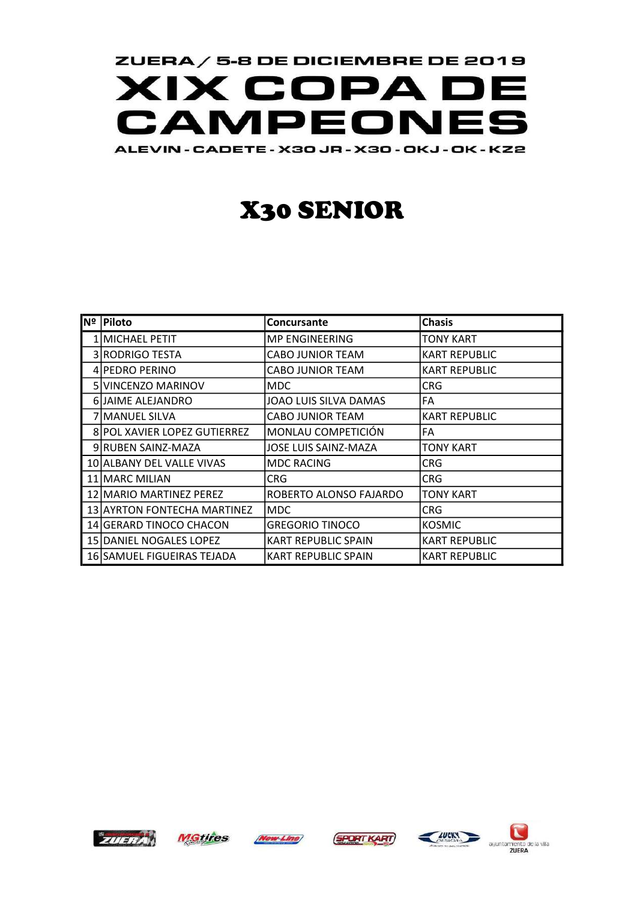

## X30 SENIOR

| Nº Piloto                    | <b>Concursante</b>         | <b>Chasis</b>        |
|------------------------------|----------------------------|----------------------|
| 1 MICHAEL PETIT              | MP ENGINEERING             | TONY KART            |
| 3 RODRIGO TESTA              | CABO JUNIOR TEAM           | <b>KART REPUBLIC</b> |
| 4 PEDRO PERINO               | CABO JUNIOR TEAM           | <b>KART REPUBLIC</b> |
| 5 VINCENZO MARINOV           | MDC.                       | CRG                  |
| 6 JAIME ALEJANDRO            | JOAO LUIS SILVA DAMAS      | FA                   |
| 7 MANUEL SILVA               | CABO JUNIOR TEAM           | <b>KART REPUBLIC</b> |
| 8 POL XAVIER LOPEZ GUTIERREZ | MONLAU COMPETICIÓN         | FA                   |
| 9 RUBEN SAINZ-MAZA           | JOSE LUIS SAINZ-MAZA       | TONY KART            |
| 10 ALBANY DEL VALLE VIVAS    | <b>MDC RACING</b>          | CRG                  |
| 11 MARC MILIAN               | CRG                        | <b>CRG</b>           |
| 12 MARIO MARTINEZ PEREZ      | ROBERTO ALONSO FAJARDO     | <b>TONY KART</b>     |
| 13 AYRTON FONTECHA MARTINEZ  | MDC.                       | CRG.                 |
| 14 GERARD TINOCO CHACON      | GREGORIO TINOCO            | <b>KOSMIC</b>        |
| 15 DANIEL NOGALES LOPEZ      | KART REPUBLIC SPAIN        | <b>KART REPUBLIC</b> |
| 16 SAMUEL FIGUEIRAS TEJADA   | <b>KART REPUBLIC SPAIN</b> | <b>KART REPUBLIC</b> |









auuntam

de la vita ZUERA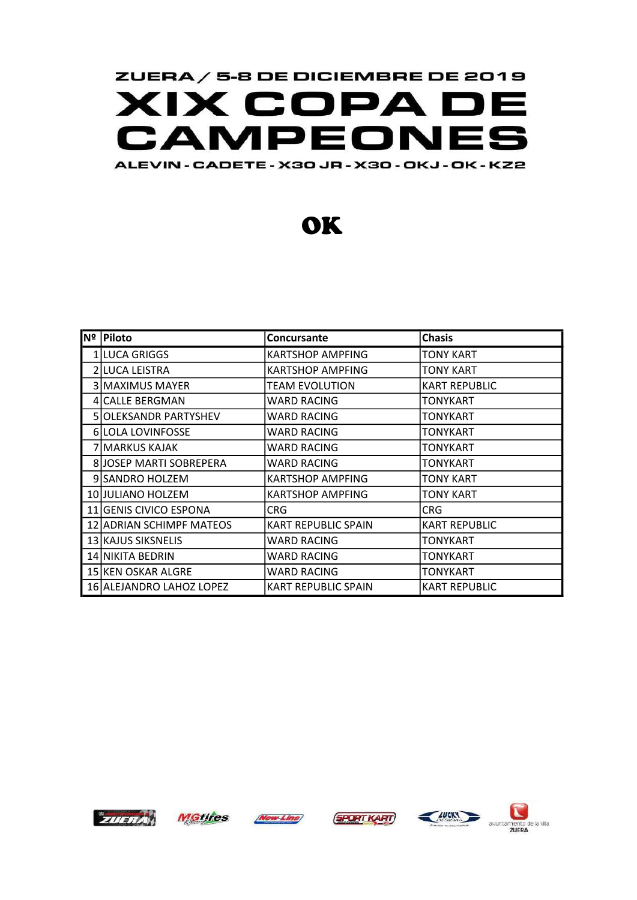

**OK** 

| Nº Piloto                | Concursante                | <b>Chasis</b>        |
|--------------------------|----------------------------|----------------------|
| 1 LUCA GRIGGS            | <b>KARTSHOP AMPFING</b>    | <b>TONY KART</b>     |
| 2 LUCA LEISTRA           | KARTSHOP AMPFING           | TONY KART            |
| 3 MAXIMUS MAYER          | TEAM EVOLUTION             | <b>KART REPUBLIC</b> |
| 4 CALLE BERGMAN          | WARD RACING                | TONYKART             |
| 5 OLEKSANDR PARTYSHEV    | WARD RACING                | TONYKART             |
| 6 LOLA LOVINFOSSE        | WARD RACING                | TONYKART             |
| 7 MARKUS KAJAK           | WARD RACING                | <b>TONYKART</b>      |
| 8 JOSEP MARTI SOBREPERA  | WARD RACING                | TONYKART             |
| 9 SANDRO HOLZEM          | KARTSHOP AMPFING           | TONY KART            |
| 10 JULIANO HOLZEM        | <b>KARTSHOP AMPFING</b>    | <b>TONY KART</b>     |
| 11 GENIS CIVICO ESPONA   | CRG.                       | <b>CRG</b>           |
| 12 ADRIAN SCHIMPF MATEOS | <b>KART REPUBLIC SPAIN</b> | <b>KART REPUBLIC</b> |
| 13 KAJUS SIKSNELIS       | WARD RACING                | TONYKART             |
| 14 NIKITA BEDRIN         | WARD RACING                | TONYKART             |
| 15 KEN OSKAR ALGRE       | WARD RACING                | <b>TONYKART</b>      |
| 16 ALEJANDRO LAHOZ LOPEZ | KART REPUBLIC SPAIN        | <b>KART REPUBLIC</b> |



**MGtires Now Line**